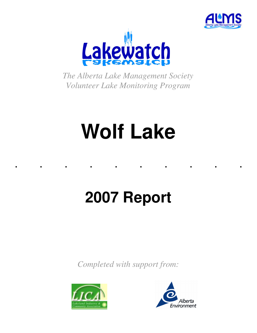



*The Alberta Lake Management Society Volunteer Lake Monitoring Program* 

# **Wolf Lake**

. . . . . . . . . .

## **2007 Report**

*Completed with support from:* 



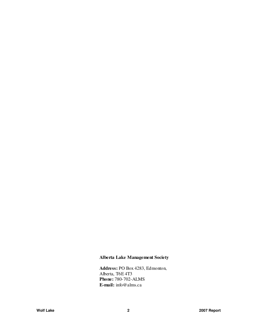## **Alberta Lake Management Society**

**Address:** PO Box 4283, Edmonton, Alberta, T6E 4T3 **Phone:** 780-702-ALMS **E-mail:** info@alms.ca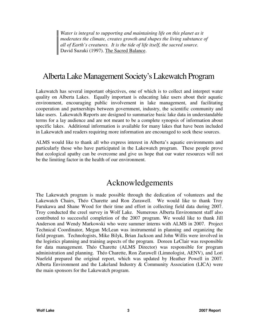*Water is integral to supporting and maintaining life on this planet as it moderates the climate, creates growth and shapes the living substance of all of Earth's creatures. It is the tide of life itself, the sacred source.*  David Suzuki (1997). The Sacred Balance.

## Alberta Lake Management Society's Lakewatch Program

Lakewatch has several important objectives, one of which is to collect and interpret water quality on Alberta Lakes. Equally important is educating lake users about their aquatic environment, encouraging public involvement in lake management, and facilitating cooperation and partnerships between government, industry, the scientific community and lake users. Lakewatch Reports are designed to summarize basic lake data in understandable terms for a lay audience and are not meant to be a complete synopsis of information about specific lakes. Additional information is available for many lakes that have been included in Lakewatch and readers requiring more information are encouraged to seek these sources.

ALMS would like to thank all who express interest in Alberta's aquatic environments and particularly those who have participated in the Lakewatch program. These people prove that ecological apathy can be overcome and give us hope that our water resources will not be the limiting factor in the health of our environment.

## Acknowledgements

The Lakewatch program is made possible through the dedication of volunteers and the Lakewatch Chairs, Théo Charette and Ron Zurawell. We would like to thank Troy Furukawa and Shane Wood for their time and effort in collecting field data during 2007. Troy conducted the creel survey in Wolf Lake. Numerous Alberta Environment staff also contributed to successful completion of the 2007 program. We would like to thank Jill Anderson and Wendy Markowski who were summer interns with ALMS in 2007. Project Technical Coordinator, Megan McLean was instrumental in planning and organizing the field program. Technologists, Mike Bilyk, Brian Jackson and John Willis were involved in the logistics planning and training aspects of the program. Doreen LeClair was responsible for data management. Théo Charette (ALMS Director) was responsible for program administration and planning. Théo Charette, Ron Zurawell (Limnologist, AENV), and Lori Nuefeld prepared the original report, which was updated by Heather Powell in 2007. Alberta Environment and the Lakeland Industry & Community Association (LICA) were the main sponsors for the Lakewatch program.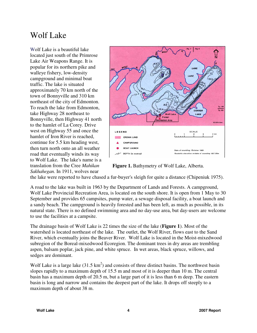## Wolf Lake

Wolf Lake is a beautiful lake located just south of the Primrose Lake Air Weapons Range. It is popular for its northern pike and walleye fishery, low-density campground and minimal boat traffic. The lake is situated approximately 70 km north of the town of Bonnyville and 310 km northeast of the city of Edmonton. To reach the lake from Edmonton, take Highway 28 northeast to Bonnyville, then Highway 41 north to the hamlet of La Corey. Drive west on Highway 55 and once the hamlet of Iron River is reached, continue for 5.5 km heading west, then turn north onto an all weather road that eventually winds its way to Wolf Lake. The lake's name is a translation from the Cree *Mahikan Sakhahegan.* In 1911, wolves near



**Figure 1.** Bathymetry of Wolf Lake, Alberta.

the lake were reported to have chased a fur-buyer's sleigh for quite a distance (Chipeniuk 1975).

A road to the lake was built in 1963 by the Department of Lands and Forests. A campground, Wolf Lake Provincial Recreation Area, is located on the south shore. It is open from 1 May to 30 September and provides 65 campsites, pump water, a sewage disposal facility, a boat launch and a sandy beach. The campground is heavily forested and has been left, as much as possible, in its natural state. There is no defined swimming area and no day-use area, but day-users are welcome to use the facilities at a campsite.

The drainage basin of Wolf Lake is 22 times the size of the lake (**Figure 1**). Most of the watershed is located northeast of the lake. The outlet, the Wolf River, flows east to the Sand River, which eventually joins the Beaver River. Wolf Lake is located in the Moist-mixedwood subregion of the Boreal-mixedwood Ecoregion. The dominant trees in dry areas are trembling aspen, balsam poplar, jack pine, and white spruce. In wet areas, black spruce, willows, and sedges are dominant.

Wolf Lake is a large lake  $(31.5 \text{ km}^2)$  and consists of three distinct basins. The northwest basin slopes rapidly to a maximum depth of 15.5 m and most of it is deeper than 10 m. The central basin has a maximum depth of 20.5 m, but a large part of it is less than 6 m deep. The eastern basin is long and narrow and contains the deepest part of the lake. It drops off steeply to a maximum depth of about 38 m.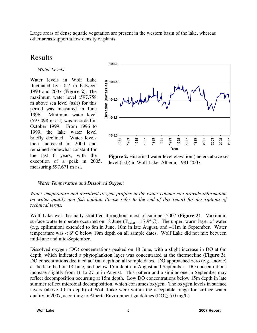Large areas of dense aquatic vegetation are present in the western basin of the lake, whereas other areas support a low density of plants.

## Results

*Water Levels* 

Water levels in Wolf Lake fluctuated by  $\sim 0.7$  m between 1993 and 2007 (**Figure 2**). The maximum water level (597.758 m above sea level (asl)) for this period was measured in June 1996. Minimum water level (597.098 m asl) was recorded in October 1999. From 1996 to 1999, the lake water level briefly declined. Water levels then increased in 2000 and remained somewhat constant for the last 6 years, with the exception of a peak in 2005, measuring 597.671 m asl.



**Figure 2.** Historical water level elevation (meters above sea level (asl)) in Wolf Lake, Alberta, 1981-2007.

### *Water Temperature and Dissolved Oxygen*

*Water temperature and dissolved oxygen profiles in the water column can provide information on water quality and fish habitat. Please refer to the end of this report for descriptions of technical terms.* 

Wolf Lake was thermally stratified throughout most of summer 2007 (**Figure 3**). Maximum surface water temperate occurred on 18 June ( $T_{water} = 17.9$ °C). The upper, warm layer of water (e.g. epilimnion) extended to 8m in June, 10m in late August, and ~11m in September. Water temperature was < 6º C below 19m depth on all sample dates. Wolf Lake did not mix between mid-June and mid-September.

Dissolved oxygen (DO) concentrations peaked on 18 June, with a slight increase in DO at 6m depth, which indicated a phytoplankton layer was concentrated at the thermocline (**Figure 3**). DO concentrations declined at 10m depth on all sample dates. DO approached zero (e.g. anoxic) at the lake bed on 18 June, and below 15m depth in August and September. DO concentrations increase slightly from 16 to 27 m in August. This pattern and a similar one in September may reflect decomposition occurring at 15m depth. Low DO concentrations below 15m depth in late summer reflect microbial decomposition, which consumes oxygen. The oxygen levels in surface layers (above 10 m depth) of Wolf Lake were within the acceptable range for surface water quality in 2007, according to Alberta Environment guidelines ( $DO \ge 5.0$  mg/L).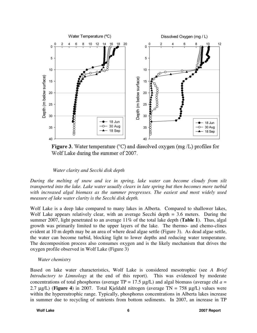

**Figure 3.** Water temperature ( $\degree$ C) and dissolved oxygen (mg/L) profiles for Wolf Lake during the summer of 2007.

 *Water clarity and Secchi disk depth* 

*During the melting of snow and ice in spring, lake water can become cloudy from silt transported into the lake. Lake water usually clears in late spring but then becomes more turbid with increased algal biomass as the summer progresses. The easiest and most widely used measure of lake water clarity is the Secchi disk depth.* 

Wolf Lake is a deep lake compared to many lakes in Alberta. Compared to shallower lakes, Wolf Lake appears relatively clear, with an average Secchi depth = 3.6 meters. During the summer 2007, light penetrated to an average 11% of the total lake depth (**Table 1**). Thus, algal growth was primarily limited to the upper layers of the lake. The thermo- and chemo-clines evident at 10 m depth may be an area of where dead algae settle (Figure 3). As dead algae settle, the water can become turbid, blocking light to lower depths and reducing water temperature. The decomposition process also consumes oxygen and is the likely mechanism that drives the oxygen profile observed in Wolf Lake (Figure 3)

### *Water chemistry*

Based on lake water characteristics, Wolf Lake is considered mesotrophic (see *A Brief Introductory to Limnology* at the end of this report). This was evidenced by moderate concentrations of total phosphorus (average  $TP = 17.5 \mu g/L$ ) and algal biomass (average chl  $a =$ 2.7 µg/L) (**Figure 4**) in 2007. Total Kjeldahl nitrogen (average TN = 758 µg/L) values were within the hypereutrophic range. Typically, phosphorus concentrations in Alberta lakes increase in summer due to recycling of nutrients from bottom sediments. In 2007, an increase in TP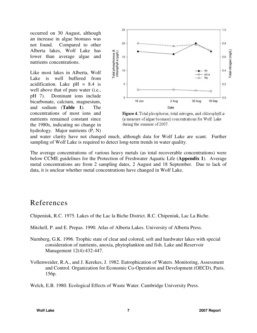occurred on 30 August, although an increase in algae biomass was not found. Compared to other Alberta lakes, Wolf Lake has lower than average algae and nutrients concentrations.

Like most lakes in Alberta, Wolf Lake is well buffered from acidification. Lake  $pH = 8.4$  is well above that of pure water (i.e., pH 7). Dominant ions include bicarbonate, calcium, magnesium, and sodium (**Table 1**). The concentrations of most ions and nutrients remained constant since the 1980s, indicating no change in hydrology. Major nutrients (P, N)



Figure 4. Total phosphorus, total nitrogen, and chlorophyll a (a measure of algae biomass) concentrations for Wolf Lake during the summer of 2007.

and water clarity have not changed much, although data for Wolf Lake are scant. Further sampling of Wolf Lake is required to detect long-term trends in water quality.

The average concentrations of various heavy metals (as total recoverable concentrations) were below CCME guidelines for the Protection of Freshwater Aquatic Life (**Appendix 1**). Average metal concentrations are from 2 sampling dates, 2 August and 18 September. Due to lack of data, it is unclear whether metal concentrations have changed in Wolf Lake.

## References

Chipeniuk, R.C. 1975. Lakes of the Lac la Biche District. R.C. Chipeniuk, Lac La Biche.

Mitchell, P. and E. Prepas. 1990. Atlas of Alberta Lakes. University of Alberta Press.

- Nurnberg, G.K. 1996. Trophic state of clear and colored, soft and hardwater lakes with special consideration of nutrients, anoxia, phytoplankton and fish. Lake and Reservoir Management 12(4):432-447.
- Vollenweider, R.A., and J. Kerekes, J. 1982. Eutrophication of Waters. Monitoring, Assessment and Control. Organization for Economic Co-Operation and Development (OECD), Paris. 156p.

Welch, E.B. 1980. Ecological Effects of Waste Water. Cambridge University Press.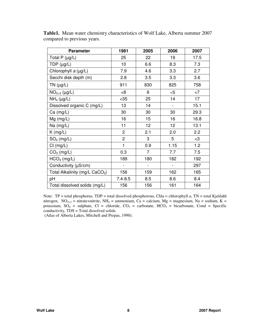| <b>Parameter</b>                           | 1981           | 2005                     | 2006                     | 2007  |
|--------------------------------------------|----------------|--------------------------|--------------------------|-------|
| Total P $(\mu g/L)$                        | 25             | 22                       | 19                       | 17.5  |
| TDP $(\mu g/L)$                            | 10             | 6.6                      | 8.3                      | 7.3   |
| Chlorophyll a (µg/L)                       | 7.9            | 4.6                      | 3.3                      | 2.7   |
| Secchi disk depth (m)                      | 2.8            | 3.5                      | 3.3                      | 3.6   |
| TN $(\mu g/L)$                             | 911            | 830                      | 825                      | 758   |
| $NO_{2+3}$ (µg/L)                          | 8<             | 6                        | $<$ 5                    | $<$ 7 |
| $NH4$ (µg/L)                               | $35$           | 25                       | 14                       | 17    |
| Dissolved organic C (mg/L)                 | 13             | 14                       |                          | 15.1  |
| $Ca$ (mg/L)                                | 30             | 30                       | 30                       | 29.3  |
| $Mg$ (mg/L)                                | 16             | 15                       | 16                       | 16.8  |
| Na (mg/L)                                  | 11             | 12                       | 12                       | 13.1  |
| $K$ (mg/L)                                 | $\overline{2}$ | 2.1                      | 2.0                      | 2.2   |
| $SO_4$ (mg/L)                              | $\overline{2}$ | 3                        | 5                        | $<$ 3 |
| Cl (mg/L)                                  | 1              | 0.9                      | 1.15                     | 1.2   |
| $CO3$ (mg/L)                               | 0.3            | 7                        | 7.7                      | 7.5   |
| $HCO3$ (mg/L)                              | 189            | 180                      | 182                      | 192   |
| Conductivity (µS/cm)                       | -              | $\overline{\phantom{0}}$ | $\overline{\phantom{a}}$ | 297   |
| Total Alkalinity (mg/L CaCO <sub>3</sub> ) | 156            | 159                      | 162                      | 165   |
| pH                                         | $7.4 - 8.5$    | 8.5                      | 8.6                      | 8.4   |
| Total dissolved solids (mg/L)              | 156            | 156                      | 161                      | 164   |

**Table1.** Mean water chemistry characteristics of Wolf Lake, Alberta summer 2007 compared to previous years.

Note: TP = total phosphorus, TDP = total dissolved phosphorous, Chla = chlorophyll *a*, TN = total Kjeldahl nitrogen, NO<sub>2+3</sub> = nitrate+nitrite, NH<sub>4</sub> = ammonium, Ca = calcium, Mg = magnesium, Na = sodium, K = potassium,  $SO_4$  = sulphate,  $Cl$  = chloride,  $CO_3$  = carbonate,  $HCO_3$  = bicarbonate, Cond = Specific conductivity, TDS = Total dissolved solids.

(Atlas of Alberta Lakes, Mitchell and Prepas, 1990).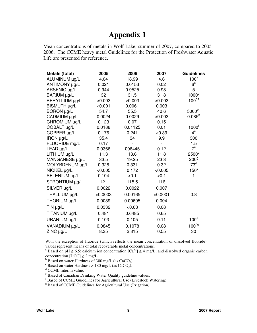## **Appendix 1**

Mean concentrations of metals in Wolf Lake, summer of 2007, compared to 2005- 2006. The CCME heavy metal Guidelines for the Protection of Freshwater Aquatic Life are presented for reference.

| Metals (total)  | 2005     | 2006    | 2007     | <b>Guidelines</b>   |
|-----------------|----------|---------|----------|---------------------|
| ALUMINUM µg/L   | 4.04     | 18.99   | 4.6      | 100 <sup>a</sup>    |
| ANTIMONY µg/L   | 0.021    | 0.0153  | 0.02     | 6 <sup>e</sup>      |
| ARSENIC µg/L    | 0.944    | 0.9525  | 0.98     | 5                   |
| BARIUM µg/L     | 32       | 31.5    | 31.8     | 1000 <sup>e</sup>   |
| BERYLLIUM µg/L  | < 0.003  | < 0.003 | < 0.003  | $100^{d,f}$         |
| BISMUTH µg/L    | < 0.001  | 0.0061  | 0.003    |                     |
| BORON µg/L      | 54.7     | 55.5    | 40.6     | $5000^{\text{e,f}}$ |
| CADMIUM µg/L    | 0.0024   | 0.0029  | < 0.003  | $0.085^{b}$         |
| CHROMIUM µg/L   | 0.123    | 0.07    | 0.15     |                     |
| COBALT µg/L     | 0.0188   | 0.01125 | 0.01     | $1000^{\dagger}$    |
| COPPER µg/L     | 0.176    | 0.241   | < 0.39   | 4 <sup>c</sup>      |
| IRON µg/L       | 35.4     | 34      | 9.9      | 300                 |
| FLUORIDE mg/L   | 0.17     |         |          | 1.5                 |
| LEAD µg/L       | 0.0366   | 006445  | 0.12     | $7^{\circ}$         |
| LITHIUM µg/L    | 11.3     | 13.6    | 11.8     | 2500 <sup>9</sup>   |
| MANGANESE µg/L  | 33.5     | 19.25   | 23.3     | 200 <sup>9</sup>    |
| MOLYBDENUM µg/L | 0.328    | 0.331   | 0.32     | 73 <sup>d</sup>     |
| NICKEL µg/L     | < 0.005  | 0.172   | < 0.005  | $150^\circ$         |
| SELENIUM µg/L   | 0.104    | < 0.1   | < 0.1    | 1                   |
| STRONTIUM µg/L  | 121      | 115.5   | 116      |                     |
| SILVER µg/L     | 0.0022   | 0.0022  | 0.007    |                     |
| THALLIUM µg/L   | < 0.0003 | 0.00165 | < 0.0001 | 0.8                 |
| THORIUM µg/L    | 0.0039   | 0.00695 | 0.004    |                     |
| $TIN \mu g/L$   | 0.0332   | &0.03   | 0.08     |                     |
| TITANIUM µg/L   | 0.481    | 0.6485  | 0.65     |                     |
| URANIUM µg/L    | 0.103    | 0.105   | 0.11     | 100 <sup>e</sup>    |
| VANADIUM µg/L   | 0.0845   | 0.1078  | 0.08     | $100^{f,g}$         |
| ZINC µg/L       | 8.35     | 2.315   | 0.55     | 30                  |

With the exception of fluoride (which reflects the mean concentration of dissolved fluoride), values represent means of total recoverable metal concentrations.

<sup>a</sup> Based on pH  $\geq$  6.5; calcium ion concentration [Ca<sup>+2</sup>]  $\geq$  4 mg/L; and dissolved organic carbon concentration  $[DOC] \ge 2$  mg/L.

 $b$  Based on water Hardness of 300 mg/L (as CaCO<sub>3</sub>).

 $\frac{c}{c}$  Based on water Hardness > 180 mg/L (as CaCO<sub>3</sub>).

<sup>d</sup> CCME interim value.

e Based of Canadian Drinking Water Quality guideline values.

<sup>f</sup> Based of CCME Guidelines for Agricultural Use (Livestock Watering).

<sup>g</sup> Based of CCME Guidelines for Agricultural Use (Irrigation).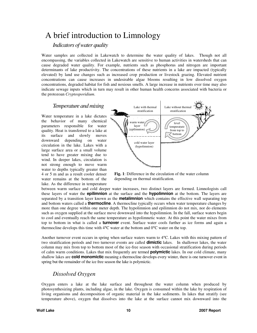## A brief introduction to Limnology

### *Indicators of water quality*

Water samples are collected in Lakewatch to determine the water quality of lakes. Though not all encompassing, the variables collected in Lakewatch are sensitive to human activities in watersheds that can cause degraded water quality. For example, nutrients such as phosphorus and nitrogen are important determinants of lake productivity. The concentrations of these nutrients in a lake are impacted (typically elevated) by land use changes such as increased crop production or livestock grazing. Elevated nutrient concentrations can cause increases in undesirable algae blooms resulting in low dissolved oxygen concentrations, degraded habitat for fish and noxious smells. A large increase in nutrients over time may also indicate sewage inputs which in turn may result in other human health concerns associated with bacteria or the protozoan *Cryptosporidium*.

#### *Temperature and mixing*

Water temperature in a lake dictates the behavior of many chemical parameters responsible for water quality. Heat is transferred to a lake at its surface and slowly moves downward depending on water circulation in the lake. Lakes with a large surface area or a small volume tend to have greater mixing due to wind. In deeper lakes, circulation is not strong enough to move warm water to depths typically greater than 4 or 5 m and as a result cooler denser water remains at the bottom of the lake. As the difference in temperature



**Fig. 1**: Difference in the circulation of the water column depending on thermal stratification.

between warm surface and cold deeper water increases, two distinct layers are formed. Limnologists call these layers of water the **epilimnion** at the surface and the **hypolimnion** at the bottom. The layers are separated by a transition layer known as the **metalimnion** which contains the effective wall separating top and bottom waters called a **thermocline**. A thermocline typically occurs when water temperature changes by more than one degree within one meter depth. The hypolimnion and epilimnion do not mix, nor do elements such as oxygen supplied at the surface move downward into the hypolimnion. In the fall, surface waters begin to cool and eventually reach the same temperature as hypolimnetic water. At this point the water mixes from top to bottom in what is called a **turnover** event. Surface water cools further as ice forms and again a thermocline develops this time with 4°C water at the bottom and 0°C water on the top.

Another turnover event occurs in spring when surface waters warm to 4°C. Lakes with this mixing pattern of two stratification periods and two turnover events are called **dimictic** lakes. In shallower lakes, the water column may mix from top to bottom most of the ice-free season with occasional stratification during periods of calm warm conditions. Lakes that mix frequently are termed **polymictic** lakes. In our cold climate, many shallow lakes are **cold monomictic** meaning a thermocline develops every winter, there is one turnover event in spring but the remainder of the ice free season the lake is polymictic.

## *Dissolved Oxygen*

Oxygen enters a lake at the lake surface and throughout the water column when produced by photosynthesizing plants, including algae, in the lake. Oxygen is consumed within the lake by respiration of living organisms and decomposition of organic material in the lake sediments. In lakes that stratify (see temperature above), oxygen that dissolves into the lake at the surface cannot mix downward into the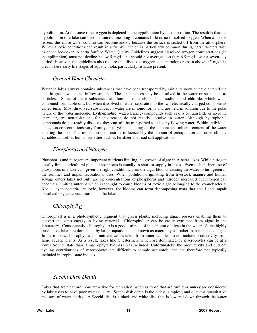hypolimnion. At the same time oxygen is depleted in the hypolimnion by decomposition. The result is that the hypolimnion of a lake can become **anoxic**, meaning it contains little or no dissolved oxygen. When a lake is frozen, the entire water column can become anoxic because the surface is sealed off from the atmosphere. Winter anoxic conditions can result in a fish-kill which is particularly common during harsh winters with extended ice-cover. Alberta Surface Water Quality Guidelines suggest dissolved oxygen concentrations (in the epilimnion) must not decline below 5 mg/L and should not average less than 6.5 mg/L over a seven-day period. However, the guidelines also require that dissolved oxygen concentrations remain above 9.5 mg/L in areas where early life stages of aquatic biota, particularly fish, are present.

### *General Water Chemistry*

Water in lakes always contains substances that have been transported by rain and snow or have entered the lake in groundwater and inflow streams. These substances may be dissolved in the water or suspended as particles. Some of these substances are familiar minerals, such as sodium and chloride, which when combined form table salt, but when dissolved in water separate into the two electrically charged components called **ions**. Most dissolved substances in water are in ionic forms and are held in solution due to the polar nature of the water molecule. **Hydrophobic** (water-fearing) compounds such as oils contain little or no ionic character, are non-polar and for this reason do not readily dissolve in water. Although hydrophobic compounds do not readily dissolve, they can still be transported to lakes by flowing water. Within individual lakes, ion concentrations vary from year to year depending on the amount and mineral content of the water entering the lake. This mineral content can be influenced by the amount of precipitation and other climate variables as well as human activities such as fertilizer and road salt application.

#### *Phosphorus and Nitrogen*

Phosphorus and nitrogen are important nutrients limiting the growth of algae in Alberta lakes. While nitrogen usually limits agricultural plants, phosphorus is usually in shortest supply in lakes. Even a slight increase of phosphorus in a lake can, given the right conditions, promote algal blooms causing the water to turn green in the summer and impair recreational uses. When pollution originating from livestock manure and human sewage enters lakes not only are the concentrations of phosphorus and nitrogen increased but nitrogen can become a limiting nutrient which is thought to cause blooms of toxic algae belonging to the cyanobacteria. Not all cyanobacteria are toxic, however, the blooms can form decomposing mats that smell and impair dissolved oxygen concentrations in the lake.

## *Chlorophyll a*

Chlorophyll *a* is a photosynthetic pigment that green plants, including algae, possess enabling them to convert the sun's energy to living material. Chlorophyll *a* can be easily extracted from algae in the laboratory. Consequently, chlorophyll *a* is a good estimate of the amount of algae in the water. Some highly productive lakes are dominated by larger aquatic plants, known as macrophytes, rather than suspended algae. In these lakes, chlorophyll *a* and nutrient values taken from water samples do not include productivity from large aquatic plants. As a result, lakes like Chestermere which are dominated by macrophytes can be at a lower trophic state than if macrophyte biomass was included. Unfortunately, the productivity and nutrient cycling contributions of macrophytes are difficult to sample accurately and are therefore not typically included in trophic state indices.

### *Secchi Disk Depth*

Lakes that are clear are more attractive for recreation, whereas those that are turbid or murky are considered by lake users to have poor water quality. Secchi disk depth is the oldest, simplest, and quickest quantitative measure of water clarity. A Secchi disk is a black and white disk that is lowered down through the water